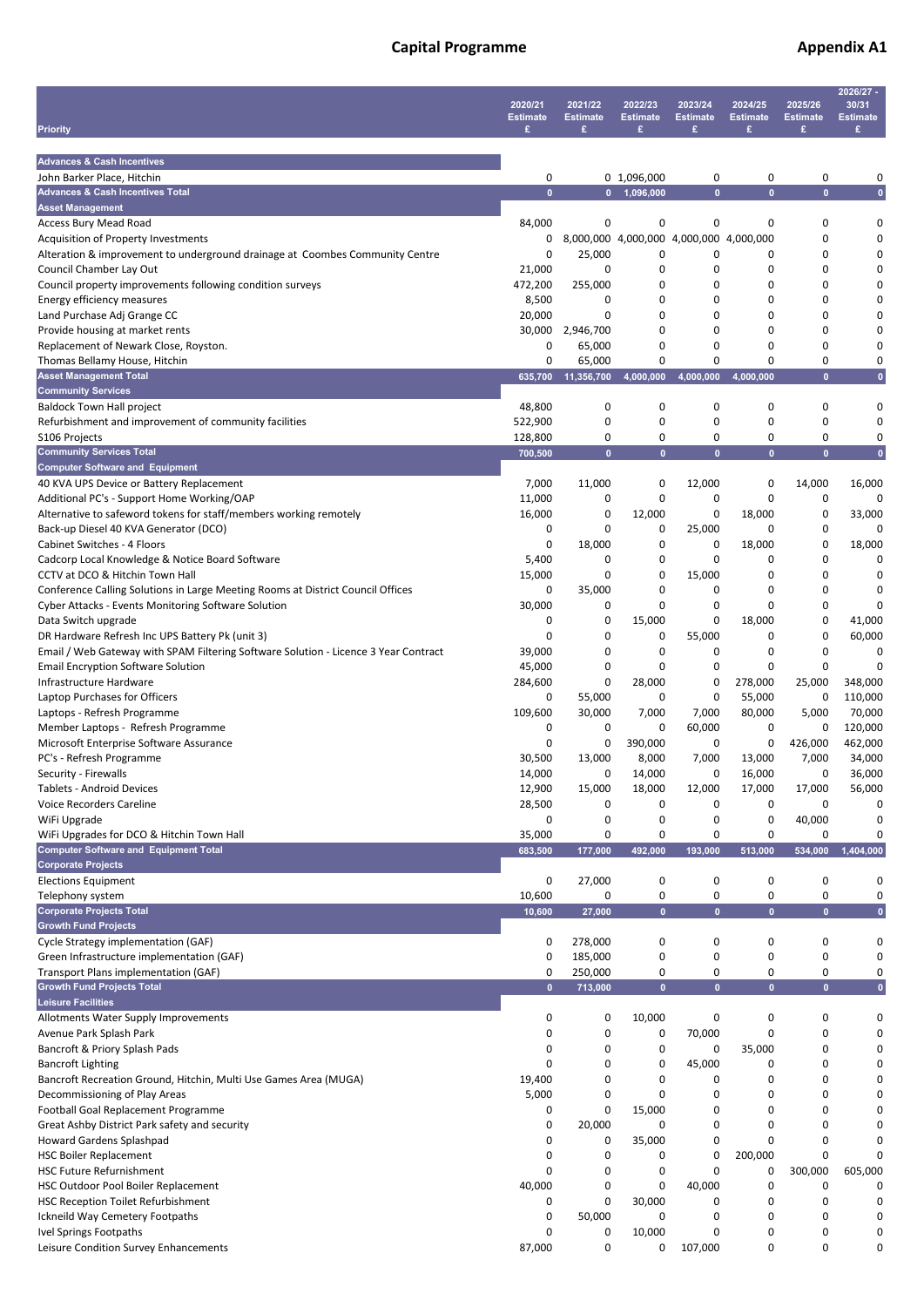## **Capital Programme Capital Programme Appendix A1**

| <b>Priority</b>                                                                                                                  | 2020/21<br><b>Estimate</b><br>£ | 2021/22<br><b>Estimate</b><br>£ | 2022/23<br><b>Estimate</b><br>£         | 2023/24<br><b>Estimate</b><br>£ | 2024/25<br><b>Estimate</b><br>£ | 2025/26<br><b>Estimate</b><br>£ | 2026/27 -<br>30/31<br><b>Estimate</b><br>۰ |
|----------------------------------------------------------------------------------------------------------------------------------|---------------------------------|---------------------------------|-----------------------------------------|---------------------------------|---------------------------------|---------------------------------|--------------------------------------------|
| <b>Advances &amp; Cash Incentives</b>                                                                                            |                                 |                                 |                                         |                                 |                                 |                                 |                                            |
| John Barker Place, Hitchin                                                                                                       | 0                               |                                 | 0 1,096,000                             | 0                               | 0                               | 0                               | 0                                          |
| <b>Advances &amp; Cash Incentives Total</b>                                                                                      | $\mathbf{0}$                    | $\mathbf{0}$                    | 1,096,000                               | $\overline{0}$                  | $\mathbf{0}$                    | $\mathbf{0}$                    | $\mathbf{0}$                               |
| <b>Asset Management</b><br>Access Bury Mead Road                                                                                 | 84,000                          | 0                               | 0                                       | 0                               | 0                               | 0                               | 0                                          |
| Acquisition of Property Investments                                                                                              | 0                               |                                 | 8,000,000 4,000,000 4,000,000 4,000,000 |                                 |                                 | 0                               | 0                                          |
| Alteration & improvement to underground drainage at Coombes Community Centre                                                     | 0                               | 25,000                          | 0                                       | 0                               | 0                               | 0                               | 0                                          |
| Council Chamber Lay Out<br>Council property improvements following condition surveys                                             | 21,000<br>472,200               | 0<br>255,000                    | 0<br>0                                  | 0<br>0                          | 0<br>0                          | 0<br>0                          | 0<br>0                                     |
| Energy efficiency measures                                                                                                       | 8,500                           | 0                               | 0                                       | 0                               | 0                               | 0                               | 0                                          |
| Land Purchase Adj Grange CC                                                                                                      | 20,000                          | 0                               | 0                                       | 0                               | 0                               | 0                               | 0                                          |
| Provide housing at market rents                                                                                                  | 30,000                          | 2,946,700                       | 0                                       | 0                               | 0                               | 0                               | 0                                          |
| Replacement of Newark Close, Royston.<br>Thomas Bellamy House, Hitchin                                                           | 0<br>0                          | 65,000<br>65,000                | 0<br>0                                  | 0<br>0                          | 0<br>0                          | 0<br>0                          | 0<br>0                                     |
| <b>Asset Management Total</b>                                                                                                    | 635,700                         | 11,356,700                      | 4,000,000                               | 4,000,000                       | 4,000,000                       | $\mathbf{0}$                    | $\mathbf{0}$                               |
| <b>Community Services</b>                                                                                                        |                                 |                                 |                                         |                                 |                                 |                                 |                                            |
| <b>Baldock Town Hall project</b><br>Refurbishment and improvement of community facilities                                        | 48,800                          | 0<br>0                          | 0<br>0                                  | 0<br>$\mathbf 0$                | 0<br>0                          | 0<br>0                          | 0<br>0                                     |
| S106 Projects                                                                                                                    | 522,900<br>128,800              | 0                               | 0                                       | 0                               | 0                               | 0                               | 0                                          |
| <b>Community Services Total</b>                                                                                                  | 700,500                         | $\mathbf{0}$                    | $\mathbf{0}$                            | $\mathbf{0}$                    | $\bullet$                       | $\mathbf{0}$                    | $\mathbf{0}$                               |
| <b>Computer Software and Equipment</b>                                                                                           |                                 |                                 |                                         |                                 |                                 |                                 |                                            |
| 40 KVA UPS Device or Battery Replacement<br>Additional PC's - Support Home Working/OAP                                           | 7,000<br>11,000                 | 11,000<br>0                     | 0<br>0                                  | 12,000<br>0                     | 0<br>0                          | 14,000<br>0                     | 16,000<br>0                                |
| Alternative to safeword tokens for staff/members working remotely                                                                | 16,000                          | 0                               | 12,000                                  | 0                               | 18,000                          | 0                               | 33,000                                     |
| Back-up Diesel 40 KVA Generator (DCO)                                                                                            | 0                               | 0                               | 0                                       | 25,000                          | 0                               | 0                               | <sup>0</sup>                               |
| Cabinet Switches - 4 Floors                                                                                                      | 0                               | 18,000                          | 0                                       | 0                               | 18,000                          | 0                               | 18,000                                     |
| Cadcorp Local Knowledge & Notice Board Software                                                                                  | 5,400                           | 0                               | 0                                       | 0                               | 0                               | 0<br>0                          | 0                                          |
| CCTV at DCO & Hitchin Town Hall<br>Conference Calling Solutions in Large Meeting Rooms at District Council Offices               | 15,000<br>0                     | 0<br>35,000                     | 0<br>0                                  | 15,000<br>0                     | 0<br>0                          | 0                               | 0<br>0                                     |
| Cyber Attacks - Events Monitoring Software Solution                                                                              | 30,000                          | 0                               | 0                                       | 0                               | 0                               | 0                               | 0                                          |
| Data Switch upgrade                                                                                                              | 0                               | 0                               | 15,000                                  | 0                               | 18,000                          | 0                               | 41,000                                     |
| DR Hardware Refresh Inc UPS Battery Pk (unit 3)                                                                                  | 0                               | 0                               | 0                                       | 55,000                          | 0                               | 0                               | 60,000                                     |
| Email / Web Gateway with SPAM Filtering Software Solution - Licence 3 Year Contract<br><b>Email Encryption Software Solution</b> | 39,000<br>45,000                | 0<br>0                          | 0<br>0                                  | 0<br>0                          | 0<br>0                          | 0<br>0                          | 0<br>0                                     |
| Infrastructure Hardware                                                                                                          | 284,600                         | 0                               | 28,000                                  | 0                               | 278,000                         | 25,000                          | 348,000                                    |
| Laptop Purchases for Officers                                                                                                    | 0                               | 55,000                          | 0                                       | 0                               | 55,000                          | 0                               | 110,000                                    |
| Laptops - Refresh Programme                                                                                                      | 109,600                         | 30,000                          | 7,000                                   | 7,000                           | 80,000                          | 5,000                           | 70,000                                     |
| Member Laptops - Refresh Programme<br>Microsoft Enterprise Software Assurance                                                    | 0<br>0                          | 0<br>0                          | 0<br>390,000                            | 60,000<br>0                     | 0<br>0                          | 0<br>426,000                    | 120,000<br>462,000                         |
| PC's - Refresh Programme                                                                                                         | 30,500                          | 13,000                          | 8,000                                   | 7,000                           | 13,000                          | 7,000                           | 34,000                                     |
| Security - Firewalls                                                                                                             | 14,000                          | 0                               | 14,000                                  | 0                               | 16,000                          | 0                               | 36,000                                     |
| Tablets - Android Devices                                                                                                        | 12,900                          | 15,000                          | 18,000                                  | 12,000                          | 17,000                          | 17,000                          | 56,000                                     |
| <b>Voice Recorders Careline</b><br>WiFi Upgrade                                                                                  | 28,500<br>0                     | 0<br>0                          | 0<br>0                                  | 0<br>0                          | 0<br>0                          | 0<br>40,000                     | 0<br>0                                     |
| WiFi Upgrades for DCO & Hitchin Town Hall                                                                                        | 35,000                          | 0                               | 0                                       | 0                               | 0                               | 0                               | 0                                          |
| <b>Computer Software and Equipment Total</b>                                                                                     | 683,500                         | 177,000                         | 492,000                                 | 193,000                         | 513,000                         | 534,000                         | 1,404,000                                  |
| <b>Corporate Projects</b>                                                                                                        | 0                               |                                 | 0                                       | 0                               | 0                               | 0                               | 0                                          |
| <b>Elections Equipment</b><br>Telephony system                                                                                   | 10,600                          | 27,000<br>0                     | 0                                       | 0                               | 0                               | 0                               | 0                                          |
| <b>Corporate Projects Total</b>                                                                                                  | 10,600                          | 27,000                          | $\bullet$                               | $\bullet$                       | $\bullet$                       | $\mathbf{0}$                    | $\pmb{0}$                                  |
| <b>Growth Fund Projects</b>                                                                                                      |                                 |                                 |                                         |                                 |                                 |                                 |                                            |
| Cycle Strategy implementation (GAF)<br>Green Infrastructure implementation (GAF)                                                 | 0<br>0                          | 278,000<br>185,000              | 0<br>0                                  | 0<br>0                          | 0<br>0                          | 0<br>0                          | 0<br>0                                     |
| Transport Plans implementation (GAF)                                                                                             | 0                               | 250,000                         | 0                                       | 0                               | 0                               | 0                               | 0                                          |
| <b>Growth Fund Projects Total</b>                                                                                                | $\bullet$                       | 713,000                         | $\mathbf{0}$                            | $\bullet$                       | $\bullet$                       | $\bf{0}$                        | $\pmb{0}$                                  |
| <b>Leisure Facilities</b>                                                                                                        |                                 |                                 |                                         |                                 |                                 |                                 |                                            |
| Allotments Water Supply Improvements<br>Avenue Park Splash Park                                                                  | 0<br>0                          | 0<br>0                          | 10,000<br>0                             | 0<br>70,000                     | 0<br>0                          | 0<br>0                          | 0<br>0                                     |
| Bancroft & Priory Splash Pads                                                                                                    | 0                               | 0                               | 0                                       | 0                               | 35,000                          | 0                               | 0                                          |
| <b>Bancroft Lighting</b>                                                                                                         | 0                               | 0                               | 0                                       | 45,000                          | 0                               | 0                               | 0                                          |
| Bancroft Recreation Ground, Hitchin, Multi Use Games Area (MUGA)                                                                 | 19,400                          | 0                               | 0                                       | 0                               | 0                               | 0                               | 0                                          |
| Decommissioning of Play Areas<br>Football Goal Replacement Programme                                                             | 5,000<br>0                      | 0<br>0                          | 0<br>15,000                             | 0<br>0                          | 0<br>0                          | 0<br>0                          | 0<br>0                                     |
| Great Ashby District Park safety and security                                                                                    | 0                               | 20,000                          | 0                                       | 0                               | 0                               | 0                               | $\Omega$                                   |
| Howard Gardens Splashpad                                                                                                         | 0                               | 0                               | 35,000                                  | 0                               | 0                               | 0                               | 0                                          |
| <b>HSC Boiler Replacement</b>                                                                                                    | 0                               | 0                               | 0                                       | 0                               | 200,000                         | 0                               | 0                                          |
| <b>HSC Future Refurnishment</b>                                                                                                  | 0                               | 0<br>0                          | 0<br>0                                  | 0                               | 0<br>0                          | 300,000<br>0                    | 605,000<br>0                               |
| HSC Outdoor Pool Boiler Replacement<br><b>HSC Reception Toilet Refurbishment</b>                                                 | 40,000<br>0                     | 0                               | 30,000                                  | 40,000<br>0                     | 0                               | 0                               | 0                                          |
| Ickneild Way Cemetery Footpaths                                                                                                  | 0                               | 50,000                          | 0                                       | 0                               | 0                               | 0                               | 0                                          |
| Ivel Springs Footpaths                                                                                                           | 0                               | 0                               | 10,000                                  | 0                               | 0                               | 0                               | 0                                          |
| Leisure Condition Survey Enhancements                                                                                            | 87,000                          | 0                               | 0                                       | 107,000                         | 0                               | 0                               | 0                                          |